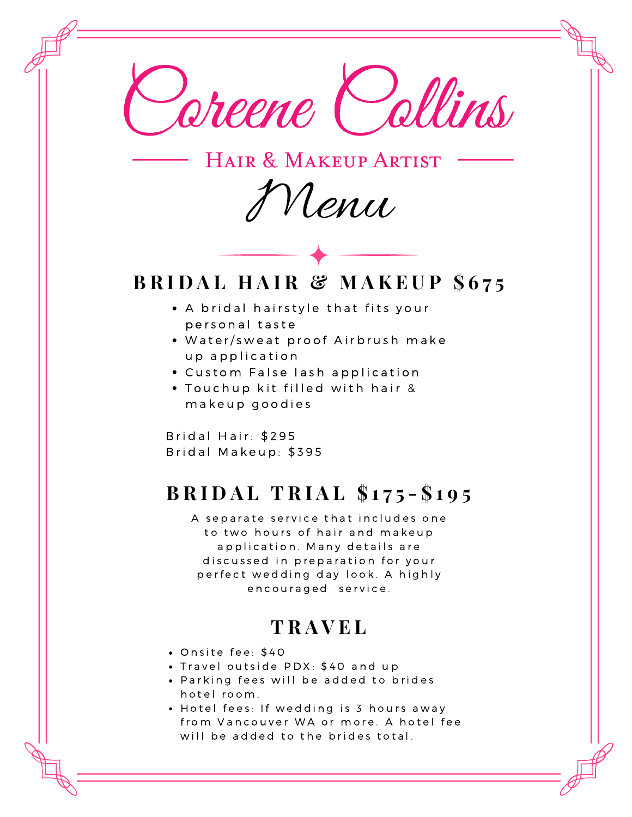

HAIR & MAKEUP ARTIST

Menu

## **B R I D A L H A I R & M A K E U P \$ 6 7 5**

- A bridal hairstyle that fits your personal taste
- . Water/sweat proof Airbrush make up application
- Custom False lash application
- . Touchup kit filled with hair & makeup goodies

Bridal Hair: \$295 Bridal Makeup: \$395

# **B R I D A L T R I A L \$ 1 7 5 - \$ 1 9 5**

A separate service that includes one to two hours of hair and makeup application. Many details are discussed in preparation for your perfect wedding day look. A highly encouraged service.

### **T R A V E L**

- Onsite fee: \$40
- . Travel outside PDX: \$40 and up
- Parking fees will be added to brides h o t e l room.
- Hotel fees: If wedding is 3 hours away from Vancouver WA or more. A hotel fee will be added to the brides total.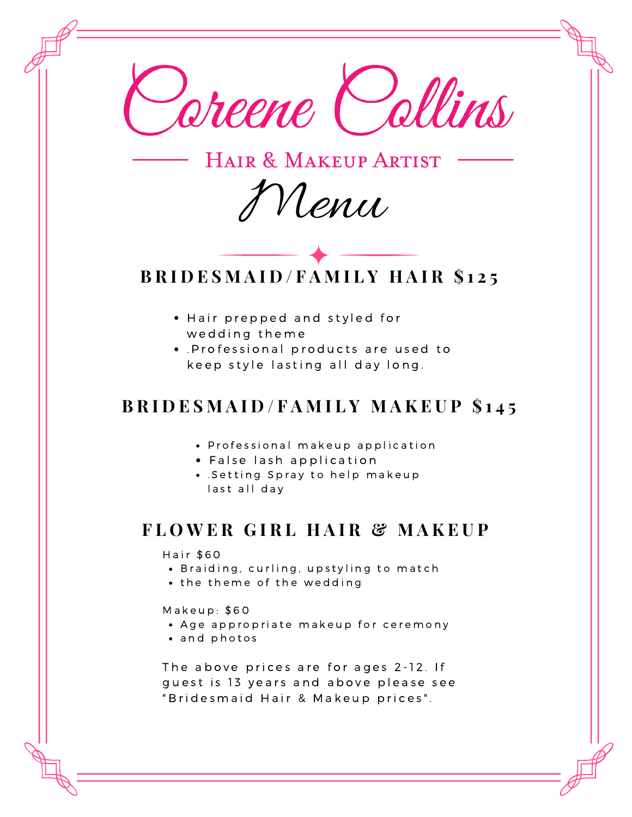

HAIR & MAKEUP ARTIST

Menu



- Hair prepped and styled for wedding theme
- . Professional products are used to keep style lasting all day long.

#### **BRIDESMAID/FAMILY MAKEUP \$145**

- Professional makeup application
- False lash application
- . Setting Spray to help makeup last all day

### **F L O W E R G I R L H A I R & M A K E U P**

Hair \$60

- Braiding, curling, upstyling to match
- the theme of the wedding

 $Makeup: $60$ 

- Age appropriate makeup for ceremony
- and photos

The above prices are for ages 2-12. If guest is 13 years and above please see " Bridesmaid Hair & Makeup prices".